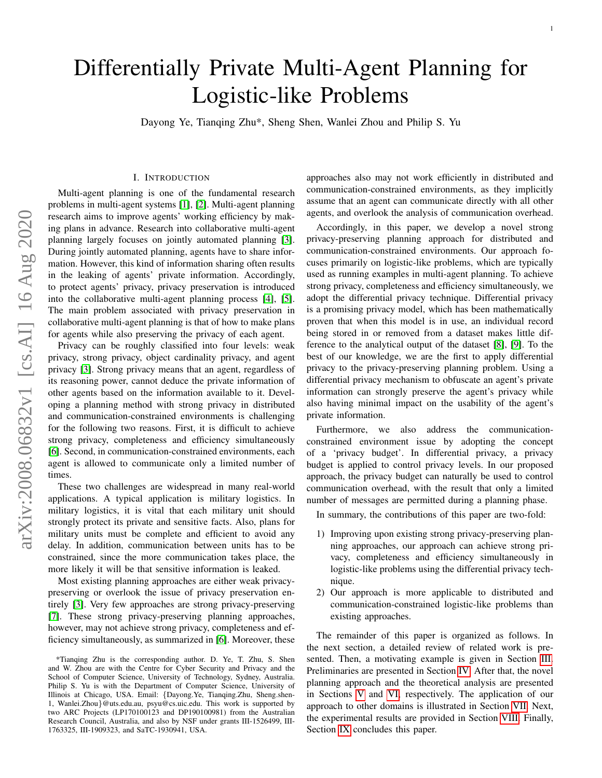# Differentially Private Multi-Agent Planning for Logistic-like Problems

Dayong Ye, Tianqing Zhu\*, Sheng Shen, Wanlei Zhou and Philip S. Yu

## I. INTRODUCTION

Multi-agent planning is one of the fundamental research problems in multi-agent systems [\[1\]](#page-13-0), [\[2\]](#page-13-1). Multi-agent planning research aims to improve agents' working efficiency by making plans in advance. Research into collaborative multi-agent planning largely focuses on jointly automated planning [\[3\]](#page-13-2). During jointly automated planning, agents have to share information. However, this kind of information sharing often results in the leaking of agents' private information. Accordingly, to protect agents' privacy, privacy preservation is introduced into the collaborative multi-agent planning process [\[4\]](#page-13-3), [\[5\]](#page-13-4). The main problem associated with privacy preservation in collaborative multi-agent planning is that of how to make plans for agents while also preserving the privacy of each agent.

Privacy can be roughly classified into four levels: weak privacy, strong privacy, object cardinality privacy, and agent privacy [\[3\]](#page-13-2). Strong privacy means that an agent, regardless of its reasoning power, cannot deduce the private information of other agents based on the information available to it. Developing a planning method with strong privacy in distributed and communication-constrained environments is challenging for the following two reasons. First, it is difficult to achieve strong privacy, completeness and efficiency simultaneously [\[6\]](#page-13-5). Second, in communication-constrained environments, each agent is allowed to communicate only a limited number of times.

These two challenges are widespread in many real-world applications. A typical application is military logistics. In military logistics, it is vital that each military unit should strongly protect its private and sensitive facts. Also, plans for military units must be complete and efficient to avoid any delay. In addition, communication between units has to be constrained, since the more communication takes place, the more likely it will be that sensitive information is leaked.

Most existing planning approaches are either weak privacypreserving or overlook the issue of privacy preservation entirely [\[3\]](#page-13-2). Very few approaches are strong privacy-preserving [\[7\]](#page-13-6). These strong privacy-preserving planning approaches, however, may not achieve strong privacy, completeness and efficiency simultaneously, as summarized in [\[6\]](#page-13-5). Moreover, these approaches also may not work efficiently in distributed and communication-constrained environments, as they implicitly assume that an agent can communicate directly with all other agents, and overlook the analysis of communication overhead.

Accordingly, in this paper, we develop a novel strong privacy-preserving planning approach for distributed and communication-constrained environments. Our approach focuses primarily on logistic-like problems, which are typically used as running examples in multi-agent planning. To achieve strong privacy, completeness and efficiency simultaneously, we adopt the differential privacy technique. Differential privacy is a promising privacy model, which has been mathematically proven that when this model is in use, an individual record being stored in or removed from a dataset makes little difference to the analytical output of the dataset [\[8\]](#page-13-7), [\[9\]](#page-13-8). To the best of our knowledge, we are the first to apply differential privacy to the privacy-preserving planning problem. Using a differential privacy mechanism to obfuscate an agent's private information can strongly preserve the agent's privacy while also having minimal impact on the usability of the agent's private information.

Furthermore, we also address the communicationconstrained environment issue by adopting the concept of a 'privacy budget'. In differential privacy, a privacy budget is applied to control privacy levels. In our proposed approach, the privacy budget can naturally be used to control communication overhead, with the result that only a limited number of messages are permitted during a planning phase.

In summary, the contributions of this paper are two-fold:

- 1) Improving upon existing strong privacy-preserving planning approaches, our approach can achieve strong privacy, completeness and efficiency simultaneously in logistic-like problems using the differential privacy technique.
- 2) Our approach is more applicable to distributed and communication-constrained logistic-like problems than existing approaches.

The remainder of this paper is organized as follows. In the next section, a detailed review of related work is presented. Then, a motivating example is given in Section [III.](#page-2-0) Preliminaries are presented in Section [IV.](#page-2-1) After that, the novel planning approach and the theoretical analysis are presented in Sections [V](#page-4-0) and [VI,](#page-8-0) respectively. The application of our approach to other domains is illustrated in Section [VII.](#page-10-0) Next, the experimental results are provided in Section [VIII.](#page-11-0) Finally, Section [IX](#page-13-9) concludes this paper.

<sup>\*</sup>Tianqing Zhu is the corresponding author. D. Ye, T. Zhu, S. Shen and W. Zhou are with the Centre for Cyber Security and Privacy and the School of Computer Science, University of Technology, Sydney, Australia. Philip S. Yu is with the Department of Computer Science, University of Illinois at Chicago, USA. Email: {Dayong.Ye, Tianqing.Zhu, Sheng.shen-1, Wanlei.Zhou}@uts.edu.au, psyu@cs.uic.edu. This work is supported by two ARC Projects (LP170100123 and DP190100981) from the Australian Research Council, Australia, and also by NSF under grants III-1526499, III-1763325, III-1909323, and SaTC-1930941, USA.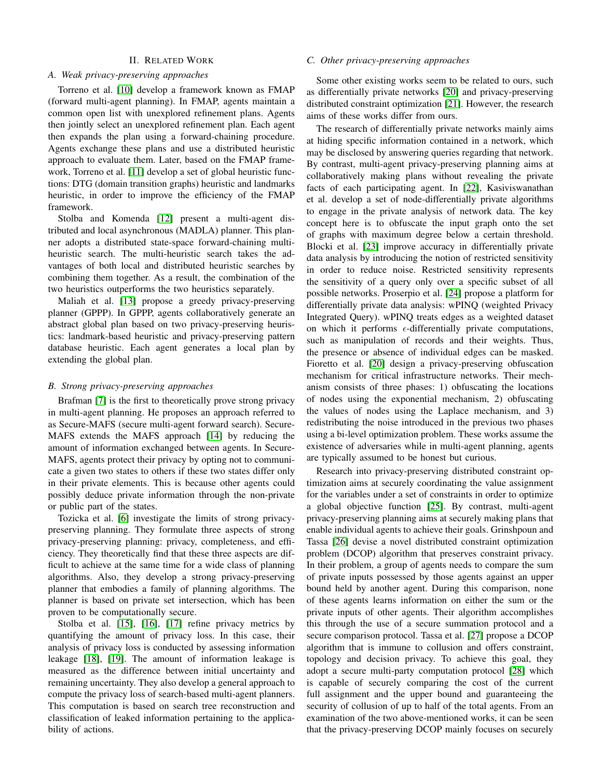# II. RELATED WORK

## *A. Weak privacy-preserving approaches*

Torreno et al. [\[10\]](#page-13-10) develop a framework known as FMAP (forward multi-agent planning). In FMAP, agents maintain a common open list with unexplored refinement plans. Agents then jointly select an unexplored refinement plan. Each agent then expands the plan using a forward-chaining procedure. Agents exchange these plans and use a distributed heuristic approach to evaluate them. Later, based on the FMAP framework, Torreno et al. [\[11\]](#page-13-11) develop a set of global heuristic functions: DTG (domain transition graphs) heuristic and landmarks heuristic, in order to improve the efficiency of the FMAP framework.

Stolba and Komenda [\[12\]](#page-14-0) present a multi-agent distributed and local asynchronous (MADLA) planner. This planner adopts a distributed state-space forward-chaining multiheuristic search. The multi-heuristic search takes the advantages of both local and distributed heuristic searches by combining them together. As a result, the combination of the two heuristics outperforms the two heuristics separately.

Maliah et al. [\[13\]](#page-14-1) propose a greedy privacy-preserving planner (GPPP). In GPPP, agents collaboratively generate an abstract global plan based on two privacy-preserving heuristics: landmark-based heuristic and privacy-preserving pattern database heuristic. Each agent generates a local plan by extending the global plan.

#### *B. Strong privacy-preserving approaches*

Brafman [\[7\]](#page-13-6) is the first to theoretically prove strong privacy in multi-agent planning. He proposes an approach referred to as Secure-MAFS (secure multi-agent forward search). Secure-MAFS extends the MAFS approach [\[14\]](#page-14-2) by reducing the amount of information exchanged between agents. In Secure-MAFS, agents protect their privacy by opting not to communicate a given two states to others if these two states differ only in their private elements. This is because other agents could possibly deduce private information through the non-private or public part of the states.

Tozicka et al. [\[6\]](#page-13-5) investigate the limits of strong privacypreserving planning. They formulate three aspects of strong privacy-preserving planning: privacy, completeness, and efficiency. They theoretically find that these three aspects are difficult to achieve at the same time for a wide class of planning algorithms. Also, they develop a strong privacy-preserving planner that embodies a family of planning algorithms. The planner is based on private set intersection, which has been proven to be computationally secure.

Stolba et al. [\[15\]](#page-14-3), [\[16\]](#page-14-4), [\[17\]](#page-14-5) refine privacy metrics by quantifying the amount of privacy loss. In this case, their analysis of privacy loss is conducted by assessing information leakage [\[18\]](#page-14-6), [\[19\]](#page-14-7). The amount of information leakage is measured as the difference between initial uncertainty and remaining uncertainty. They also develop a general approach to compute the privacy loss of search-based multi-agent planners. This computation is based on search tree reconstruction and classification of leaked information pertaining to the applicability of actions.

# *C. Other privacy-preserving approaches*

Some other existing works seem to be related to ours, such as differentially private networks [\[20\]](#page-14-8) and privacy-preserving distributed constraint optimization [\[21\]](#page-14-9). However, the research aims of these works differ from ours.

The research of differentially private networks mainly aims at hiding specific information contained in a network, which may be disclosed by answering queries regarding that network. By contrast, multi-agent privacy-preserving planning aims at collaboratively making plans without revealing the private facts of each participating agent. In [\[22\]](#page-14-10), Kasiviswanathan et al. develop a set of node-differentially private algorithms to engage in the private analysis of network data. The key concept here is to obfuscate the input graph onto the set of graphs with maximum degree below a certain threshold. Blocki et al. [\[23\]](#page-14-11) improve accuracy in differentially private data analysis by introducing the notion of restricted sensitivity in order to reduce noise. Restricted sensitivity represents the sensitivity of a query only over a specific subset of all possible networks. Proserpio et al. [\[24\]](#page-14-12) propose a platform for differentially private data analysis: wPINQ (weighted Privacy Integrated Query). wPINQ treats edges as a weighted dataset on which it performs  $\epsilon$ -differentially private computations, such as manipulation of records and their weights. Thus, the presence or absence of individual edges can be masked. Fioretto et al. [\[20\]](#page-14-8) design a privacy-preserving obfuscation mechanism for critical infrastructure networks. Their mechanism consists of three phases: 1) obfuscating the locations of nodes using the exponential mechanism, 2) obfuscating the values of nodes using the Laplace mechanism, and 3) redistributing the noise introduced in the previous two phases using a bi-level optimization problem. These works assume the existence of adversaries while in multi-agent planning, agents are typically assumed to be honest but curious.

Research into privacy-preserving distributed constraint optimization aims at securely coordinating the value assignment for the variables under a set of constraints in order to optimize a global objective function [\[25\]](#page-14-13). By contrast, multi-agent privacy-preserving planning aims at securely making plans that enable individual agents to achieve their goals. Grinshpoun and Tassa [\[26\]](#page-14-14) devise a novel distributed constraint optimization problem (DCOP) algorithm that preserves constraint privacy. In their problem, a group of agents needs to compare the sum of private inputs possessed by those agents against an upper bound held by another agent. During this comparison, none of these agents learns information on either the sum or the private inputs of other agents. Their algorithm accomplishes this through the use of a secure summation protocol and a secure comparison protocol. Tassa et al. [\[27\]](#page-14-15) propose a DCOP algorithm that is immune to collusion and offers constraint, topology and decision privacy. To achieve this goal, they adopt a secure multi-party computation protocol [\[28\]](#page-14-16) which is capable of securely comparing the cost of the current full assignment and the upper bound and guaranteeing the security of collusion of up to half of the total agents. From an examination of the two above-mentioned works, it can be seen that the privacy-preserving DCOP mainly focuses on securely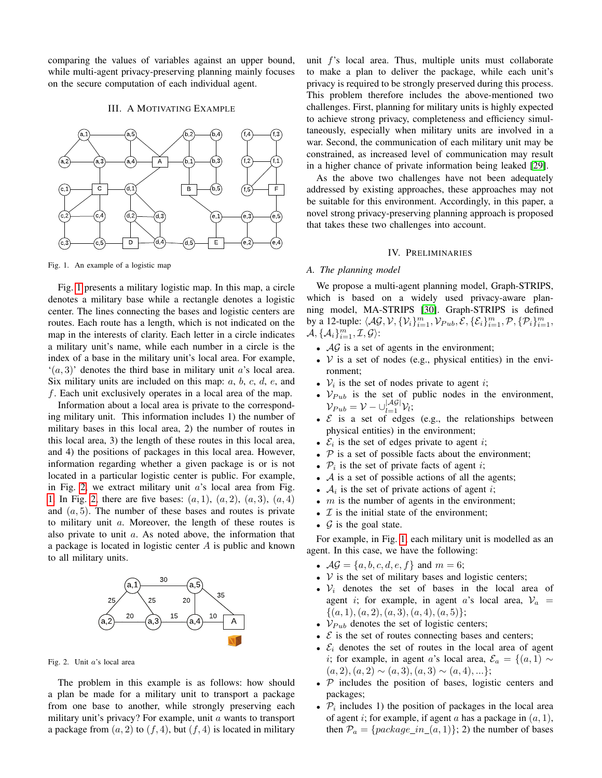comparing the values of variables against an upper bound, while multi-agent privacy-preserving planning mainly focuses on the secure computation of each individual agent.

# III. A MOTIVATING EXAMPLE

<span id="page-2-0"></span>

<span id="page-2-2"></span>Fig. 1. An example of a logistic map

Fig. [1](#page-2-2) presents a military logistic map. In this map, a circle denotes a military base while a rectangle denotes a logistic center. The lines connecting the bases and logistic centers are routes. Each route has a length, which is not indicated on the map in the interests of clarity. Each letter in a circle indicates a military unit's name, while each number in a circle is the index of a base in the military unit's local area. For example,  $(a, 3)$ ' denotes the third base in military unit a's local area. Six military units are included on this map:  $a, b, c, d, e$ , and f. Each unit exclusively operates in a local area of the map.

Information about a local area is private to the corresponding military unit. This information includes 1) the number of military bases in this local area, 2) the number of routes in this local area, 3) the length of these routes in this local area, and 4) the positions of packages in this local area. However, information regarding whether a given package is or is not located in a particular logistic center is public. For example, in Fig. [2,](#page-2-3) we extract military unit  $a$ 's local area from Fig. [1.](#page-2-2) In Fig. [2,](#page-2-3) there are five bases:  $(a, 1)$ ,  $(a, 2)$ ,  $(a, 3)$ ,  $(a, 4)$ and  $(a, 5)$ . The number of these bases and routes is private to military unit a. Moreover, the length of these routes is also private to unit a. As noted above, the information that a package is located in logistic center  $A$  is public and known to all military units.



<span id="page-2-3"></span>Fig. 2. Unit a's local area

The problem in this example is as follows: how should a plan be made for a military unit to transport a package from one base to another, while strongly preserving each military unit's privacy? For example, unit a wants to transport a package from  $(a, 2)$  to  $(f, 4)$ , but  $(f, 4)$  is located in military

unit f's local area. Thus, multiple units must collaborate to make a plan to deliver the package, while each unit's privacy is required to be strongly preserved during this process. This problem therefore includes the above-mentioned two challenges. First, planning for military units is highly expected to achieve strong privacy, completeness and efficiency simultaneously, especially when military units are involved in a war. Second, the communication of each military unit may be constrained, as increased level of communication may result in a higher chance of private information being leaked [\[29\]](#page-14-17).

As the above two challenges have not been adequately addressed by existing approaches, these approaches may not be suitable for this environment. Accordingly, in this paper, a novel strong privacy-preserving planning approach is proposed that takes these two challenges into account.

#### IV. PRELIMINARIES

## <span id="page-2-4"></span><span id="page-2-1"></span>*A. The planning model*

We propose a multi-agent planning model, Graph-STRIPS, which is based on a widely used privacy-aware planning model, MA-STRIPS [\[30\]](#page-14-18). Graph-STRIPS is defined by a 12-tuple:  $\langle \mathcal{AG}, \mathcal{V}, \{V_i\}_{i=1}^m, \mathcal{V}_{Pub}, \mathcal{E}, \{\mathcal{E}_i\}_{i=1}^m, \mathcal{P}, \{\mathcal{P}_i\}_{i=1}^m,$  $\mathcal{A}, \{\mathcal{A}_i\}_{i=1}^m, \mathcal{I}, \mathcal{G} \rangle$ :

- $AG$  is a set of agents in the environment;
- $V$  is a set of nodes (e.g., physical entities) in the environment;
- $V_i$  is the set of nodes private to agent *i*;
- $V_{Pub}$  is the set of public nodes in the environment,  $\mathcal{V}_{Pub}=\mathcal{V}-\cup_{l=1}^{|\mathcal{AG}|}\mathcal{V}_{l};$
- $E$  is a set of edges (e.g., the relationships between physical entities) in the environment;
- $\mathcal{E}_i$  is the set of edges private to agent *i*;
- $\bullet$   $\mathcal P$  is a set of possible facts about the environment;
- $\mathcal{P}_i$  is the set of private facts of agent *i*;
- $\mathcal A$  is a set of possible actions of all the agents;
- $A_i$  is the set of private actions of agent *i*;
- $m$  is the number of agents in the environment;
- $I$  is the initial state of the environment;
- $G$  is the goal state.

For example, in Fig. [1,](#page-2-2) each military unit is modelled as an agent. In this case, we have the following:

- $\mathcal{AG} = \{a, b, c, d, e, f\}$  and  $m = 6$ ;
- $V$  is the set of military bases and logistic centers;
- $V_i$  denotes the set of bases in the local area of agent *i*; for example, in agent *a*'s local area,  $V_a$  =  $\{(a, 1), (a, 2), (a, 3), (a, 4), (a, 5)\};$
- $V_{Pub}$  denotes the set of logistic centers;
- $\mathcal E$  is the set of routes connecting bases and centers;
- $\mathcal{E}_i$  denotes the set of routes in the local area of agent i; for example, in agent a's local area,  $\mathcal{E}_a = \{(a, 1) \sim$  $(a, 2), (a, 2) \sim (a, 3), (a, 3) \sim (a, 4), \ldots$ ;
- $\bullet$   $\mathcal P$  includes the position of bases, logistic centers and packages;
- $P_i$  includes 1) the position of packages in the local area of agent i; for example, if agent a has a package in  $(a, 1)$ , then  $P_a = \{package_in(a, 1)\}; 2)$  the number of bases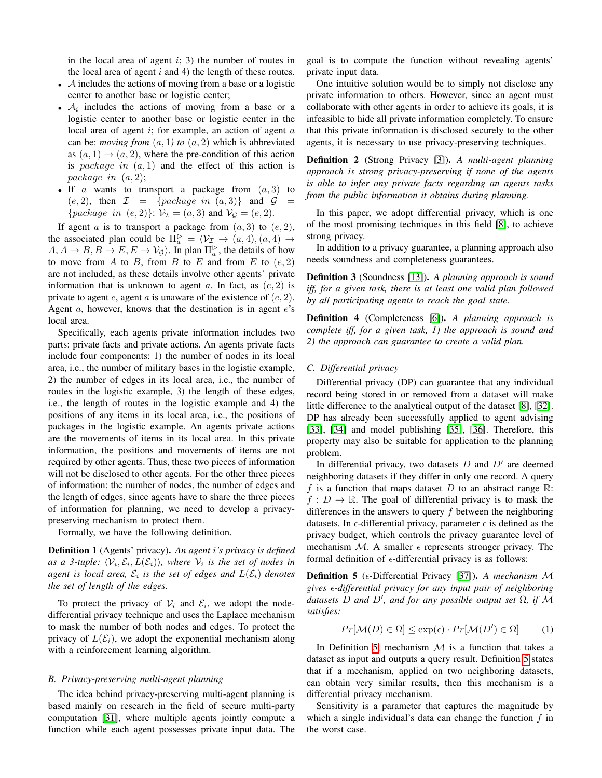in the local area of agent  $i$ ; 3) the number of routes in the local area of agent  $i$  and 4) the length of these routes.

- A includes the actions of moving from a base or a logistic center to another base or logistic center;
- $A_i$  includes the actions of moving from a base or a logistic center to another base or logistic center in the local area of agent  $i$ ; for example, an action of agent  $a$ can be: *moving from* (a, 1*) to* (a, 2) which is abbreviated as  $(a, 1) \rightarrow (a, 2)$ , where the pre-condition of this action is package in  $(a, 1)$  and the effect of this action is  $package_in(a, 2);$
- If  $\alpha$  wants to transport a package from  $(a, 3)$  to  $(e, 2)$ , then  $\mathcal{I} = \{package\_in(a, 3)\}$  and  $\mathcal{G}$ { $package_in_(e, 2)$ }:  $V_{\mathcal{I}} = (a, 3)$  and  $V_{\mathcal{G}} = (e, 2)$ .

If agent  $a$  is to transport a package from  $(a, 3)$  to  $(e, 2)$ , the associated plan could be  $\Pi_a^{\rhd} = \langle \mathcal{V}_{\mathcal{I}} \to (a, 4), (a, 4) \to$  $A, A \rightarrow B, B \rightarrow E, E \rightarrow V_g$ . In plan  $\Pi_a^{\rhd}$ , the details of how to move from A to B, from B to E and from E to  $(e, 2)$ are not included, as these details involve other agents' private information that is unknown to agent a. In fact, as  $(e, 2)$  is private to agent  $e$ , agent  $a$  is unaware of the existence of  $(e, 2)$ . Agent  $a$ , however, knows that the destination is in agent  $e$ 's local area.

Specifically, each agents private information includes two parts: private facts and private actions. An agents private facts include four components: 1) the number of nodes in its local area, i.e., the number of military bases in the logistic example, 2) the number of edges in its local area, i.e., the number of routes in the logistic example, 3) the length of these edges, i.e., the length of routes in the logistic example and 4) the positions of any items in its local area, i.e., the positions of packages in the logistic example. An agents private actions are the movements of items in its local area. In this private information, the positions and movements of items are not required by other agents. Thus, these two pieces of information will not be disclosed to other agents. For the other three pieces of information: the number of nodes, the number of edges and the length of edges, since agents have to share the three pieces of information for planning, we need to develop a privacypreserving mechanism to protect them.

Formally, we have the following definition.

Definition 1 (Agents' privacy). *An agent* i*'s privacy is defined* as a 3-tuple:  $\langle V_i, \mathcal{E}_i, L(\mathcal{E}_i) \rangle$ , where  $\mathcal{V}_i$  is the set of nodes in  $a$ gent is local area,  $\mathcal{E}_i$  is the set of edges and  $L(\mathcal{E}_i)$  denotes *the set of length of the edges.*

To protect the privacy of  $V_i$  and  $\mathcal{E}_i$ , we adopt the nodedifferential privacy technique and uses the Laplace mechanism to mask the number of both nodes and edges. To protect the privacy of  $L(\mathcal{E}_i)$ , we adopt the exponential mechanism along with a reinforcement learning algorithm.

## *B. Privacy-preserving multi-agent planning*

The idea behind privacy-preserving multi-agent planning is based mainly on research in the field of secure multi-party computation [\[31\]](#page-14-19), where multiple agents jointly compute a function while each agent possesses private input data. The

goal is to compute the function without revealing agents' private input data.

One intuitive solution would be to simply not disclose any private information to others. However, since an agent must collaborate with other agents in order to achieve its goals, it is infeasible to hide all private information completely. To ensure that this private information is disclosed securely to the other agents, it is necessary to use privacy-preserving techniques.

<span id="page-3-1"></span>Definition 2 (Strong Privacy [\[3\]](#page-13-2)). *A multi-agent planning approach is strong privacy-preserving if none of the agents is able to infer any private facts regarding an agents tasks from the public information it obtains during planning.*

In this paper, we adopt differential privacy, which is one of the most promising techniques in this field [\[8\]](#page-13-7), to achieve strong privacy.

In addition to a privacy guarantee, a planning approach also needs soundness and completeness guarantees.

Definition 3 (Soundness [\[13\]](#page-14-1)). *A planning approach is sound iff, for a given task, there is at least one valid plan followed by all participating agents to reach the goal state.*

Definition 4 (Completeness [\[6\]](#page-13-5)). *A planning approach is complete iff, for a given task, 1) the approach is sound and 2) the approach can guarantee to create a valid plan.*

## *C. Differential privacy*

Differential privacy (DP) can guarantee that any individual record being stored in or removed from a dataset will make little difference to the analytical output of the dataset [\[8\]](#page-13-7), [\[32\]](#page-14-20). DP has already been successfully applied to agent advising [\[33\]](#page-14-21), [\[34\]](#page-14-22) and model publishing [\[35\]](#page-14-23), [\[36\]](#page-14-24). Therefore, this property may also be suitable for application to the planning problem.

In differential privacy, two datasets  $D$  and  $D'$  are deemed neighboring datasets if they differ in only one record. A query f is a function that maps dataset D to an abstract range  $\mathbb{R}$ :  $f: D \to \mathbb{R}$ . The goal of differential privacy is to mask the differences in the answers to query  $f$  between the neighboring datasets. In  $\epsilon$ -differential privacy, parameter  $\epsilon$  is defined as the privacy budget, which controls the privacy guarantee level of mechanism M. A smaller  $\epsilon$  represents stronger privacy. The formal definition of  $\epsilon$ -differential privacy is as follows:

<span id="page-3-0"></span>Definition 5 (-Differential Privacy [\[37\]](#page-14-25)). *A mechanism* M *gives -differential privacy for any input pair of neighboring datasets* D and D', and for any possible output set  $Ω$ , if M *satisfies:*

$$
Pr[\mathcal{M}(D) \in \Omega] \le \exp(\epsilon) \cdot Pr[\mathcal{M}(D') \in \Omega] \tag{1}
$$

In Definition [5,](#page-3-0) mechanism  $M$  is a function that takes a dataset as input and outputs a query result. Definition [5](#page-3-0) states that if a mechanism, applied on two neighboring datasets, can obtain very similar results, then this mechanism is a differential privacy mechanism.

Sensitivity is a parameter that captures the magnitude by which a single individual's data can change the function  $f$  in the worst case.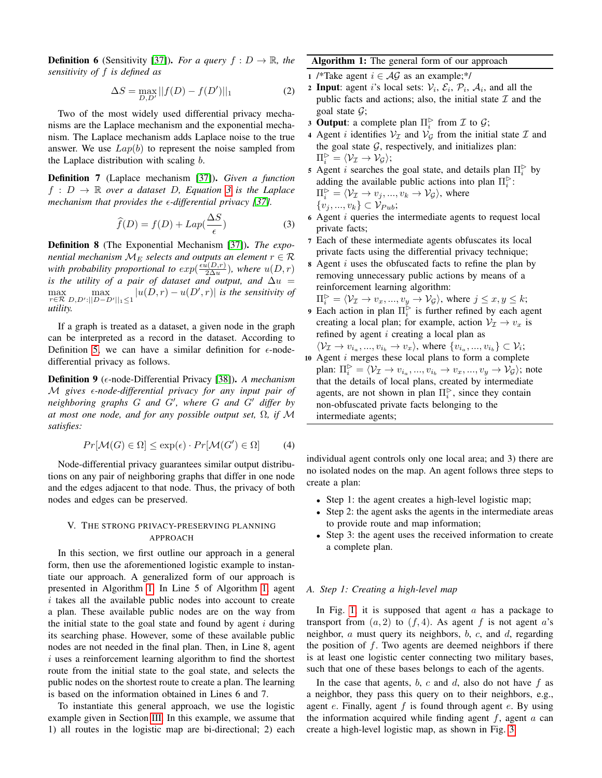**Definition 6** (Sensitivity [\[37\]](#page-14-25)). *For a query*  $f: D \to \mathbb{R}$ *, the sensitivity of* f *is defined as*

$$
\Delta S = \max_{D, D'} ||f(D) - f(D')||_1
$$
 (2)

Two of the most widely used differential privacy mechanisms are the Laplace mechanism and the exponential mechanism. The Laplace mechanism adds Laplace noise to the true answer. We use  $Lap(b)$  to represent the noise sampled from the Laplace distribution with scaling  $b$ .

<span id="page-4-3"></span>Definition 7 (Laplace mechanism [\[37\]](#page-14-25)). *Given a function*  $f : D \to \mathbb{R}$  *over a dataset D, Equation [3](#page-4-1) is the Laplace mechanism that provides the*  $\epsilon$ *-differential privacy [\[37\]](#page-14-25)*.

<span id="page-4-1"></span>
$$
\widehat{f}(D) = f(D) + Lap(\frac{\Delta S}{\epsilon})
$$
\n(3)

Definition 8 (The Exponential Mechanism [\[37\]](#page-14-25)). *The exponential mechanism*  $\mathcal{M}_E$  *selects and outputs an element*  $r \in \mathcal{R}$ with probability proportional to  $exp(\frac{\epsilon u(D,r)}{2\Delta u})$  $\frac{u(D,r)}{2\Delta u}$ ), where  $u(D,r)$ *is the utility of a pair of dataset and output, and*  $\Delta u$  =  $\max_{r \in \mathcal{R}} \max_{D, D':||D-D'||_1 \leq 1} |u(D,r) - u(D',r)|$  is the sensitivity of *utility.*

If a graph is treated as a dataset, a given node in the graph can be interpreted as a record in the dataset. According to Definition [5,](#page-3-0) we can have a similar definition for  $\epsilon$ -nodedifferential privacy as follows.

<span id="page-4-4"></span>**Definition 9** (ε-node-Differential Privacy [\[38\]](#page-14-26)). *A mechanism* M *gives -node-differential privacy for any input pair of neighboring graphs G and G', where G and G' differ by at most one node, and for any possible output set,* Ω*, if* M *satisfies:*

$$
Pr[\mathcal{M}(G) \in \Omega] \le \exp(\epsilon) \cdot Pr[\mathcal{M}(G') \in \Omega] \tag{4}
$$

Node-differential privacy guarantees similar output distributions on any pair of neighboring graphs that differ in one node and the edges adjacent to that node. Thus, the privacy of both nodes and edges can be preserved.

# <span id="page-4-0"></span>V. THE STRONG PRIVACY-PRESERVING PLANNING APPROACH

In this section, we first outline our approach in a general form, then use the aforementioned logistic example to instantiate our approach. A generalized form of our approach is presented in Algorithm [1.](#page-4-2) In Line 5 of Algorithm [1,](#page-4-2) agent  $i$  takes all the available public nodes into account to create a plan. These available public nodes are on the way from the initial state to the goal state and found by agent  $i$  during its searching phase. However, some of these available public nodes are not needed in the final plan. Then, in Line 8, agent  $i$  uses a reinforcement learning algorithm to find the shortest route from the initial state to the goal state, and selects the public nodes on the shortest route to create a plan. The learning is based on the information obtained in Lines 6 and 7.

To instantiate this general approach, we use the logistic example given in Section [III.](#page-2-0) In this example, we assume that 1) all routes in the logistic map are bi-directional; 2) each

# Algorithm 1: The general form of our approach

<span id="page-4-2"></span>1 /\*Take agent  $i \in \mathcal{AG}$  as an example;\*/

- **2 Input**: agent *i*'s local sets:  $V_i$ ,  $\mathcal{E}_i$ ,  $\mathcal{P}_i$ ,  $\mathcal{A}_i$ , and all the public facts and actions; also, the initial state  $\mathcal I$  and the goal state  $\mathcal{G}$ ;
- 3 Output: a complete plan  $\Pi_i^{\triangleright}$  $\int_{i}^{\triangleright}$  from  $\mathcal I$  to  $\mathcal G$ ;
- 4 Agent *i* identifies  $V<sub>T</sub>$  and  $V<sub>G</sub>$  from the initial state  $T$  and the goal state  $G$ , respectively, and initializes plan:  $\Pi_i^{\triangleright} = \langle \mathcal{V}_{\mathcal{I}} \rightarrow \mathcal{V}_{\mathcal{G}} \rangle;$
- 5 Agent *i* searches the goal state, and details plan  $\Pi_i^{\triangleright}$  $\frac{5}{i}$  by adding the available public actions into plan  $\Pi_i^{\triangleright}$  $\mathbb{P}_i$ :  $\Pi_i^{\rhd} = \langle \mathcal{V}_{\mathcal{I}} \to v_j, ..., v_k \to \mathcal{V}_{\mathcal{G}} \rangle$ , where  $\{v_j, ..., v_k\} \subset \mathcal{V}_{Pub};$
- <sup>6</sup> Agent i queries the intermediate agents to request local private facts;
- 7 Each of these intermediate agents obfuscates its local private facts using the differential privacy technique;
- $8$  Agent *i* uses the obfuscated facts to refine the plan by removing unnecessary public actions by means of a reinforcement learning algorithm:

 $\Pi_i^{\rhd} = \langle \mathcal{V}_{\mathcal{I}} \to v_x, ..., v_y \to \mathcal{V}_{\mathcal{G}} \rangle$ , where  $j \leq x, y \leq k$ ;

9 Each action in plan  $\Pi_i^{\triangleright}$  $\sum_{i=1}^{n}$  is further refined by each agent creating a local plan; for example, action  $V_{\mathcal{I}} \to v_x$  is refined by agent  $i$  creating a local plan as

 $\langle \mathcal{V}_{\mathcal{I}} \to v_{i_a}, ..., v_{i_b} \to v_x \rangle$ , where  $\{v_{i_a}, ..., v_{i_b}\} \subset \mathcal{V}_i$ ;

10 Agent  $i$  merges these local plans to form a complete plan:  $\Pi_i^{\rhd} = \langle \mathcal{V}_{\mathcal{I}} \to v_{i_a}, ..., v_{i_b} \to v_x, ..., v_y \to \mathcal{V}_{\mathcal{G}} \rangle$ ; note that the details of local plans, created by intermediate agents, are not shown in plan  $\Pi_i^{\triangleright}$  $\sum_{i}$ , since they contain non-obfuscated private facts belonging to the intermediate agents;

individual agent controls only one local area; and 3) there are no isolated nodes on the map. An agent follows three steps to create a plan:

- Step 1: the agent creates a high-level logistic map;
- Step 2: the agent asks the agents in the intermediate areas to provide route and map information;
- Step 3: the agent uses the received information to create a complete plan.

# *A. Step 1: Creating a high-level map*

In Fig. [1,](#page-2-2) it is supposed that agent  $a$  has a package to transport from  $(a, 2)$  to  $(f, 4)$ . As agent f is not agent a's neighbor,  $a$  must query its neighbors,  $b$ ,  $c$ , and  $d$ , regarding the position of f. Two agents are deemed neighbors if there is at least one logistic center connecting two military bases, such that one of these bases belongs to each of the agents.

In the case that agents,  $b$ ,  $c$  and  $d$ , also do not have  $f$  as a neighbor, they pass this query on to their neighbors, e.g., agent  $e$ . Finally, agent  $f$  is found through agent  $e$ . By using the information acquired while finding agent  $f$ , agent  $\alpha$  can create a high-level logistic map, as shown in Fig. [3.](#page-5-0)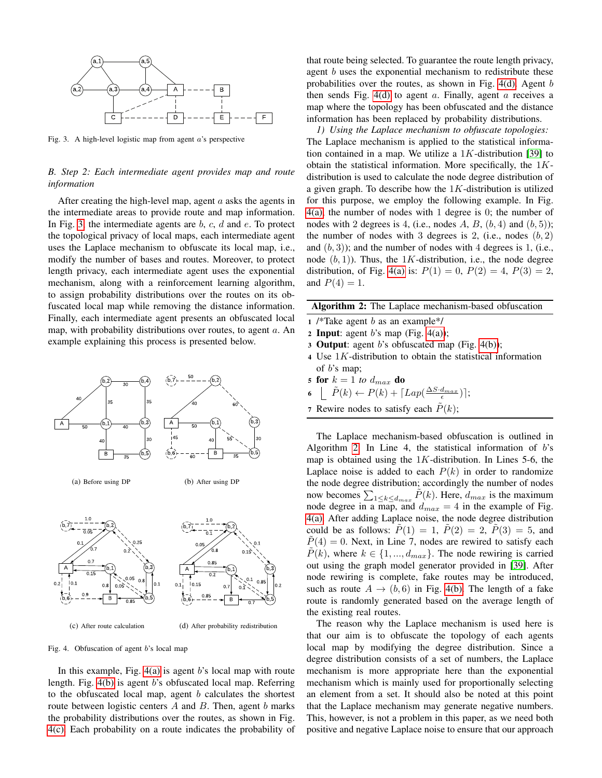

<span id="page-5-0"></span>Fig. 3. A high-level logistic map from agent a's perspective

# <span id="page-5-6"></span>*B. Step 2: Each intermediate agent provides map and route information*

After creating the high-level map, agent  $a$  asks the agents in the intermediate areas to provide route and map information. In Fig. [3,](#page-5-0) the intermediate agents are  $b, c, d$  and  $e$ . To protect the topological privacy of local maps, each intermediate agent uses the Laplace mechanism to obfuscate its local map, i.e., modify the number of bases and routes. Moreover, to protect length privacy, each intermediate agent uses the exponential mechanism, along with a reinforcement learning algorithm, to assign probability distributions over the routes on its obfuscated local map while removing the distance information. Finally, each intermediate agent presents an obfuscated local map, with probability distributions over routes, to agent  $a$ . An example explaining this process is presented below.

<span id="page-5-2"></span><span id="page-5-1"></span>

<span id="page-5-7"></span><span id="page-5-4"></span><span id="page-5-3"></span>Fig. 4. Obfuscation of agent b's local map

In this example, Fig.  $4(a)$  is agent b's local map with route length. Fig. [4\(b\)](#page-5-2) is agent b's obfuscated local map. Referring to the obfuscated local map, agent b calculates the shortest route between logistic centers  $A$  and  $B$ . Then, agent  $b$  marks the probability distributions over the routes, as shown in Fig. [4\(c\).](#page-5-3) Each probability on a route indicates the probability of that route being selected. To guarantee the route length privacy, agent b uses the exponential mechanism to redistribute these probabilities over the routes, as shown in Fig.  $4(d)$ . Agent b then sends Fig.  $4(d)$  to agent a. Finally, agent a receives a map where the topology has been obfuscated and the distance information has been replaced by probability distributions.

*1) Using the Laplace mechanism to obfuscate topologies:* The Laplace mechanism is applied to the statistical information contained in a map. We utilize a  $1K$ -distribution [\[39\]](#page-14-27) to obtain the statistical information. More specifically, the  $1K$ distribution is used to calculate the node degree distribution of a given graph. To describe how the  $1K$ -distribution is utilized for this purpose, we employ the following example. In Fig. [4\(a\),](#page-5-1) the number of nodes with 1 degree is 0; the number of nodes with 2 degrees is 4, (i.e., nodes  $A, B, (b, 4)$  and  $(b, 5)$ ); the number of nodes with 3 degrees is 2, (i.e., nodes  $(b, 2)$ ) and  $(b, 3)$ ; and the number of nodes with 4 degrees is 1, (i.e., node  $(b, 1)$ ). Thus, the 1K-distribution, i.e., the node degree distribution, of Fig. [4\(a\)](#page-5-1) is:  $P(1) = 0$ ,  $P(2) = 4$ ,  $P(3) = 2$ , and  $P(4) = 1$ .

## Algorithm 2: The Laplace mechanism-based obfuscation

- <span id="page-5-5"></span>1 /\*Take agent b as an example\*/
- 2 Input: agent  $b$ 's map (Fig. [4\(a\)\)](#page-5-1);
- 3 **Output**: agent  $b$ 's obfuscated map (Fig. [4\(b\)\)](#page-5-2);
- <sup>4</sup> Use 1K-distribution to obtain the statistical information of  $b$ 's map;
- 5 for  $k = 1$  *to*  $d_{max}$  do

$$
\bullet \quad \boxed{\quad \tilde{P}(k) \leftarrow P(k) + \lceil Lap(\frac{\Delta S \cdot d_{max}}{\epsilon}) \rceil;}
$$

7 Rewire nodes to satisfy each  $\tilde{P}(k)$ ;

The Laplace mechanism-based obfuscation is outlined in Algorithm [2.](#page-5-5) In Line 4, the statistical information of  $b$ 's map is obtained using the  $1K$ -distribution. In Lines 5-6, the Laplace noise is added to each  $P(k)$  in order to randomize the node degree distribution; accordingly the number of nodes now becomes  $\sum_{1 \leq k \leq d_{max}} \tilde{P}(k)$ . Here,  $d_{max}$  is the maximum node degree in a map, and  $d_{max} = 4$  in the example of Fig. [4\(a\).](#page-5-1) After adding Laplace noise, the node degree distribution could be as follows:  $P(1) = 1$ ,  $P(2) = 2$ ,  $P(3) = 5$ , and  $P(4) = 0$ . Next, in Line 7, nodes are rewired to satisfy each  $P(k)$ , where  $k \in \{1, ..., d_{max}\}$ . The node rewiring is carried out using the graph model generator provided in [\[39\]](#page-14-27). After node rewiring is complete, fake routes may be introduced, such as route  $A \rightarrow (b, 6)$  in Fig. [4\(b\).](#page-5-2) The length of a fake route is randomly generated based on the average length of the existing real routes.

The reason why the Laplace mechanism is used here is that our aim is to obfuscate the topology of each agents local map by modifying the degree distribution. Since a degree distribution consists of a set of numbers, the Laplace mechanism is more appropriate here than the exponential mechanism which is mainly used for proportionally selecting an element from a set. It should also be noted at this point that the Laplace mechanism may generate negative numbers. This, however, is not a problem in this paper, as we need both positive and negative Laplace noise to ensure that our approach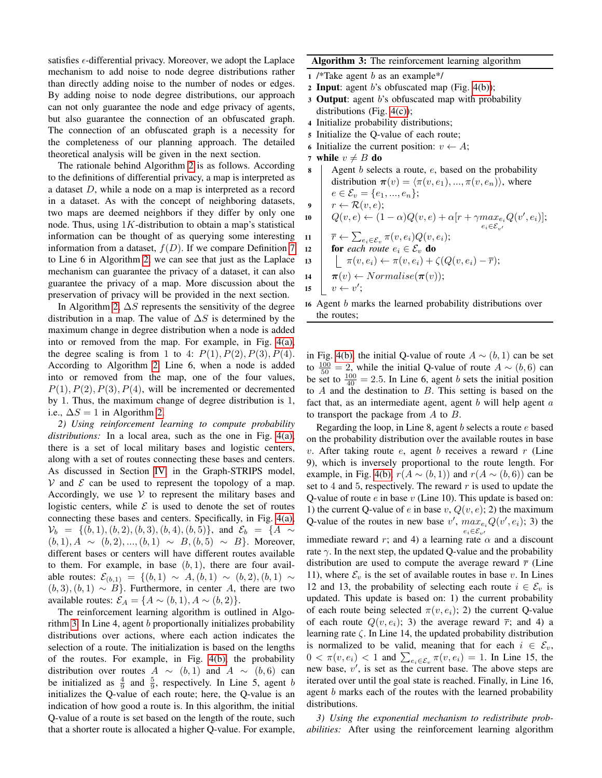satisfies  $\epsilon$ -differential privacy. Moreover, we adopt the Laplace mechanism to add noise to node degree distributions rather than directly adding noise to the number of nodes or edges. By adding noise to node degree distributions, our approach can not only guarantee the node and edge privacy of agents, but also guarantee the connection of an obfuscated graph. The connection of an obfuscated graph is a necessity for the completeness of our planning approach. The detailed theoretical analysis will be given in the next section.

The rationale behind Algorithm [2](#page-5-5) is as follows. According to the definitions of differential privacy, a map is interpreted as a dataset D, while a node on a map is interpreted as a record in a dataset. As with the concept of neighboring datasets, two maps are deemed neighbors if they differ by only one node. Thus, using  $1K$ -distribution to obtain a map's statistical information can be thought of as querying some interesting information from a dataset,  $f(D)$ . If we compare Definition [7](#page-4-3) to Line 6 in Algorithm [2,](#page-5-5) we can see that just as the Laplace mechanism can guarantee the privacy of a dataset, it can also guarantee the privacy of a map. More discussion about the preservation of privacy will be provided in the next section.

In Algorithm [2,](#page-5-5)  $\Delta S$  represents the sensitivity of the degree distribution in a map. The value of  $\Delta S$  is determined by the maximum change in degree distribution when a node is added into or removed from the map. For example, in Fig. [4\(a\),](#page-5-1) the degree scaling is from 1 to 4:  $P(1)$ ,  $P(2)$ ,  $P(3)$ ,  $P(4)$ . According to Algorithm [2,](#page-5-5) Line 6, when a node is added into or removed from the map, one of the four values,  $P(1), P(2), P(3), P(4),$  will be incremented or decremented by 1. Thus, the maximum change of degree distribution is 1, i.e.,  $\Delta S = 1$  in Algorithm [2.](#page-5-5)

*2) Using reinforcement learning to compute probability distributions:* In a local area, such as the one in Fig. [4\(a\),](#page-5-1) there is a set of local military bases and logistic centers, along with a set of routes connecting these bases and centers. As discussed in Section [IV,](#page-2-1) in the Graph-STRIPS model, V and  $\mathcal E$  can be used to represent the topology of a map. Accordingly, we use  $V$  to represent the military bases and logistic centers, while  $\mathcal E$  is used to denote the set of routes connecting these bases and centers. Specifically, in Fig. [4\(a\),](#page-5-1)  $\mathcal{V}_b = \{ (b, 1), (b, 2), (b, 3), (b, 4), (b, 5) \}, \text{ and } \mathcal{E}_b = \{ A \sim$  $(b, 1), A \sim (b, 2), ..., (b, 1) \sim B, (b, 5) \sim B$ . Moreover, different bases or centers will have different routes available to them. For example, in base  $(b, 1)$ , there are four available routes:  $\mathcal{E}_{(b,1)} = \{(b,1) \sim A, (b,1) \sim (b,2), (b,1) \sim$  $(b, 3), (b, 1) \sim B$ . Furthermore, in center A, there are two available routes:  $\mathcal{E}_A = \{A \sim (b, 1), A \sim (b, 2)\}.$ 

The reinforcement learning algorithm is outlined in Algorithm [3.](#page-6-0) In Line 4, agent b proportionally initializes probability distributions over actions, where each action indicates the selection of a route. The initialization is based on the lengths of the routes. For example, in Fig. [4\(b\),](#page-5-2) the probability distribution over routes  $A \sim (b, 1)$  and  $A \sim (b, 6)$  can be initialized as  $\frac{4}{9}$  and  $\frac{5}{9}$ , respectively. In Line 5, agent b initializes the Q-value of each route; here, the Q-value is an indication of how good a route is. In this algorithm, the initial Q-value of a route is set based on the length of the route, such that a shorter route is allocated a higher Q-value. For example,

## Algorithm 3: The reinforcement learning algorithm

- <span id="page-6-0"></span><sup>1</sup> /\*Take agent b as an example\*/
- 2 Input: agent  $b$ 's obfuscated map (Fig. [4\(b\)\)](#page-5-2);
- <sup>3</sup> Output: agent b's obfuscated map with probability distributions (Fig.  $4(c)$ );
- 4 Initialize probability distributions;
- 5 Initialize the Q-value of each route;
- 6 Initialize the current position:  $v \leftarrow A$ ;
- 7 while  $v \neq B$  do
- 8 Agent b selects a route,  $e$ , based on the probability distribution  $\boldsymbol{\pi}(v) = \langle \pi(v, e_1), ..., \pi(v, e_n) \rangle$ , where  $e \in \mathcal{E}_v = \{e_1, ..., e_n\};$ 9  $r \leftarrow \mathcal{R}(v, e);$ 10  $Q(v, e) \leftarrow (1$  $Q(v',e_i)];$

$$
\mathcal{C}(v, e) \leftarrow (1 - \alpha) \mathcal{C}(v, e) + \alpha [1 + \gamma m a x_{e_i} \mathcal{C}(v, e_i)],
$$

$$
\boxed{\quad \overline{r} \leftarrow \sum_{e_i \in \mathcal{E}_v} \pi(v, e_i) Q(v, e_i);}
$$

- 11  $\begin{cases} 1 \leq \sum_{e_i \in \mathcal{E}_v} \pi(v, e_i) Q(v, \\ \text{for each route } e_i \in \mathcal{E}_v \text{ do} \end{cases}$
- 13  $\pi(v, e_i) \leftarrow \pi(v, e_i) + \zeta(Q(v, e_i) \overline{r});$
- 14  $\pi(v) \leftarrow Normalise(\pi(v));$
- 15  $v \leftarrow v'$ ;

 $11$ 

<sup>16</sup> Agent b marks the learned probability distributions over the routes;

in Fig. [4\(b\),](#page-5-2) the initial Q-value of route  $A \sim (b, 1)$  can be set to  $\frac{100}{50}$  = 2, while the initial Q-value of route  $A \sim (b, 6)$  can be set to  $\frac{100}{40} = 2.5$ . In Line 6, agent b sets the initial position to  $A$  and the destination to  $B$ . This setting is based on the fact that, as an intermediate agent, agent  $b$  will help agent  $a$ to transport the package from  $A$  to  $B$ .

Regarding the loop, in Line 8, agent  $b$  selects a route  $e$  based on the probability distribution over the available routes in base v. After taking route e, agent b receives a reward  $r$  (Line 9), which is inversely proportional to the route length. For example, in Fig. [4\(b\),](#page-5-2)  $r(A \sim (b, 1))$  and  $r(A \sim (b, 6))$  can be set to 4 and 5, respectively. The reward  $r$  is used to update the Q-value of route  $e$  in base  $v$  (Line 10). This update is based on: 1) the current Q-value of e in base v,  $Q(v, e)$ ; 2) the maximum Q-value of the routes in new base v',  $max_{e_i} Q(v', e_i)$ ; 3) the  $e_i \in \mathcal{E}_{i'}$ 

immediate reward r; and 4) a learning rate  $\alpha$  and a discount rate  $\gamma$ . In the next step, the updated Q-value and the probability distribution are used to compute the average reward  $\bar{r}$  (Line 11), where  $\mathcal{E}_v$  is the set of available routes in base v. In Lines 12 and 13, the probability of selecting each route  $i \in \mathcal{E}_v$  is updated. This update is based on: 1) the current probability of each route being selected  $\pi(v, e_i)$ ; 2) the current Q-value of each route  $Q(v, e_i)$ ; 3) the average reward  $\overline{r}$ ; and 4) a learning rate  $\zeta$ . In Line 14, the updated probability distribution is normalized to be valid, meaning that for each  $i \in \mathcal{E}_v$ ,  $0 < \pi(v, e_i) < 1$  and  $\sum_{e_i \in \mathcal{E}_v} \pi(v, e_i) = 1$ . In Line 15, the new base,  $v'$ , is set as the current base. The above steps are iterated over until the goal state is reached. Finally, in Line 16, agent b marks each of the routes with the learned probability distributions.

*3) Using the exponential mechanism to redistribute probabilities:* After using the reinforcement learning algorithm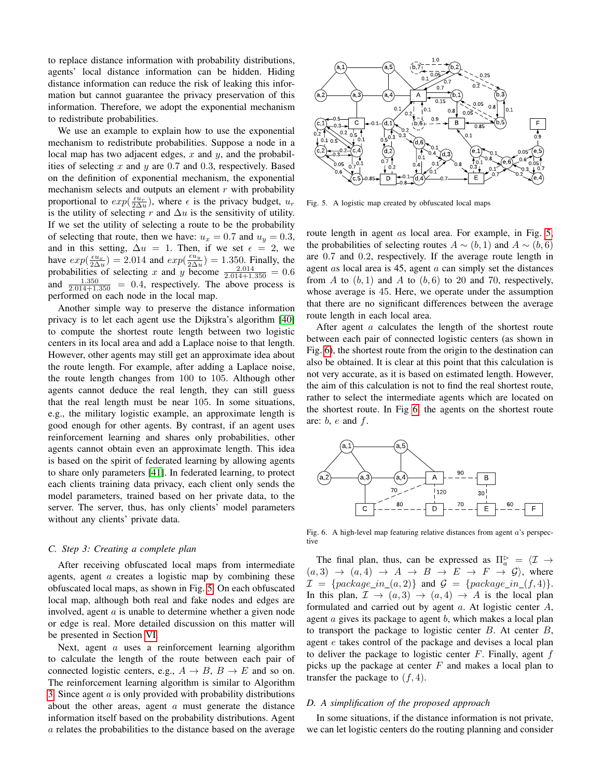to replace distance information with probability distributions, agents' local distance information can be hidden. Hiding distance information can reduce the risk of leaking this information but cannot guarantee the privacy preservation of this information. Therefore, we adopt the exponential mechanism to redistribute probabilities.

We use an example to explain how to use the exponential mechanism to redistribute probabilities. Suppose a node in a local map has two adjacent edges, x and y, and the probabilities of selecting  $x$  and  $y$  are 0.7 and 0.3, respectively. Based on the definition of exponential mechanism, the exponential mechanism selects and outputs an element  $r$  with probability proportional to  $exp(\frac{\epsilon u_r}{2\Delta u})$ , where  $\epsilon$  is the privacy budget,  $u_r$ is the utility of selecting r and  $\Delta u$  is the sensitivity of utility. If we set the utility of selecting a route to be the probability of selecting that route, then we have:  $u_x = 0.7$  and  $u_y = 0.3$ , and in this setting,  $\Delta u = 1$ . Then, if we set  $\epsilon = 2$ , we have  $exp(\frac{\epsilon u_x}{2\Delta u}) = 2.014$  and  $exp(\frac{\epsilon u_y}{2\Delta u}) = 1.350$ . Finally, the probabilities of selecting x and y become  $\frac{2.014}{2.014+1.350} = 0.6$ and  $\frac{1.350}{2.014+1.350}$  = 0.4, respectively. The above process is performed on each node in the local map.

Another simple way to preserve the distance information privacy is to let each agent use the Dijkstra's algorithm [\[40\]](#page-14-28) to compute the shortest route length between two logistic centers in its local area and add a Laplace noise to that length. However, other agents may still get an approximate idea about the route length. For example, after adding a Laplace noise, the route length changes from 100 to 105. Although other agents cannot deduce the real length, they can still guess that the real length must be near 105. In some situations, e.g., the military logistic example, an approximate length is good enough for other agents. By contrast, if an agent uses reinforcement learning and shares only probabilities, other agents cannot obtain even an approximate length. This idea is based on the spirit of federated learning by allowing agents to share only parameters [\[41\]](#page-14-29). In federated learning, to protect each clients training data privacy, each client only sends the model parameters, trained based on her private data, to the server. The server, thus, has only clients' model parameters without any clients' private data.

## *C. Step 3: Creating a complete plan*

After receiving obfuscated local maps from intermediate agents, agent  $a$  creates a logistic map by combining these obfuscated local maps, as shown in Fig. [5.](#page-7-0) On each obfuscated local map, although both real and fake nodes and edges are involved, agent  $a$  is unable to determine whether a given node or edge is real. More detailed discussion on this matter will be presented in Section [VI.](#page-8-0)

Next, agent *a* uses a reinforcement learning algorithm to calculate the length of the route between each pair of connected logistic centers, e.g.,  $A \rightarrow B$ ,  $B \rightarrow E$  and so on. The reinforcement learning algorithm is similar to Algorithm [3.](#page-6-0) Since agent  $\alpha$  is only provided with probability distributions about the other areas, agent  $a$  must generate the distance information itself based on the probability distributions. Agent a relates the probabilities to the distance based on the average



<span id="page-7-0"></span>Fig. 5. A logistic map created by obfuscated local maps

route length in agent as local area. For example, in Fig. [5,](#page-7-0) the probabilities of selecting routes  $A \sim (b, 1)$  and  $A \sim (b, 6)$ are 0.7 and 0.2, respectively. If the average route length in agent  $as$  local area is 45, agent  $a$  can simply set the distances from A to  $(b, 1)$  and A to  $(b, 6)$  to 20 and 70, respectively, whose average is 45. Here, we operate under the assumption that there are no significant differences between the average route length in each local area.

After agent a calculates the length of the shortest route between each pair of connected logistic centers (as shown in Fig. [6\)](#page-7-1), the shortest route from the origin to the destination can also be obtained. It is clear at this point that this calculation is not very accurate, as it is based on estimated length. However, the aim of this calculation is not to find the real shortest route, rather to select the intermediate agents which are located on the shortest route. In Fig [6,](#page-7-1) the agents on the shortest route are:  $b$ ,  $e$  and  $f$ .



<span id="page-7-1"></span>Fig. 6. A high-level map featuring relative distances from agent a's perspective

The final plan, thus, can be expressed as  $\Pi_a^{\rhd} = \langle \mathcal{I} \rangle \rightarrow$  $(a, 3) \rightarrow (a, 4) \rightarrow A \rightarrow B \rightarrow E \rightarrow F \rightarrow \mathcal{G}$ , where  $\mathcal{I} = \{package\_in(a, 2)\}$  and  $\mathcal{G} = \{package\_in_1(f, 4)\}.$ In this plan,  $\mathcal{I} \rightarrow (a, 3) \rightarrow (a, 4) \rightarrow A$  is the local plan formulated and carried out by agent  $a$ . At logistic center  $A$ , agent  $a$  gives its package to agent  $b$ , which makes a local plan to transport the package to logistic center  $B$ . At center  $B$ , agent  $e$  takes control of the package and devises a local plan to deliver the package to logistic center  $F$ . Finally, agent  $f$ picks up the package at center  $F$  and makes a local plan to transfer the package to  $(f, 4)$ .

## *D. A simplification of the proposed approach*

In some situations, if the distance information is not private, we can let logistic centers do the routing planning and consider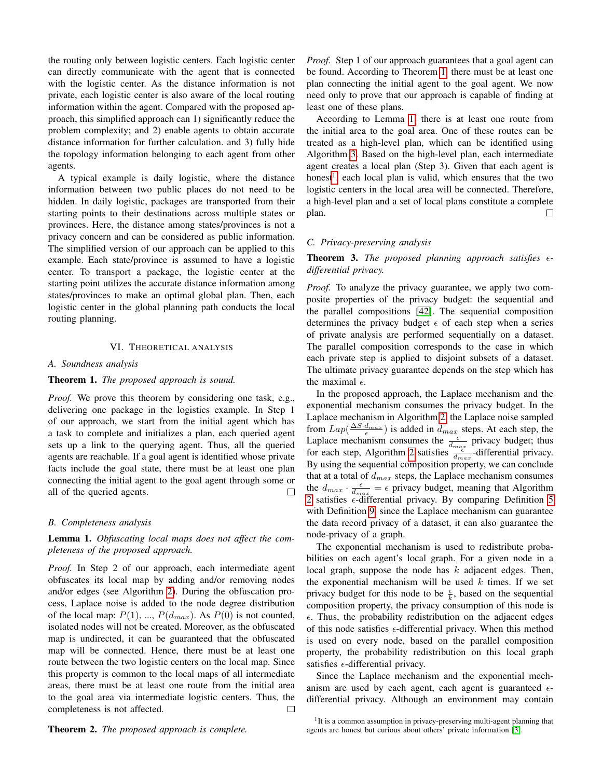the routing only between logistic centers. Each logistic center can directly communicate with the agent that is connected with the logistic center. As the distance information is not private, each logistic center is also aware of the local routing information within the agent. Compared with the proposed approach, this simplified approach can 1) significantly reduce the problem complexity; and 2) enable agents to obtain accurate distance information for further calculation. and 3) fully hide the topology information belonging to each agent from other agents.

A typical example is daily logistic, where the distance information between two public places do not need to be hidden. In daily logistic, packages are transported from their starting points to their destinations across multiple states or provinces. Here, the distance among states/provinces is not a privacy concern and can be considered as public information. The simplified version of our approach can be applied to this example. Each state/province is assumed to have a logistic center. To transport a package, the logistic center at the starting point utilizes the accurate distance information among states/provinces to make an optimal global plan. Then, each logistic center in the global planning path conducts the local routing planning.

#### VI. THEORETICAL ANALYSIS

#### <span id="page-8-0"></span>*A. Soundness analysis*

## <span id="page-8-1"></span>Theorem 1. *The proposed approach is sound.*

*Proof.* We prove this theorem by considering one task, e.g., delivering one package in the logistics example. In Step 1 of our approach, we start from the initial agent which has a task to complete and initializes a plan, each queried agent sets up a link to the querying agent. Thus, all the queried agents are reachable. If a goal agent is identified whose private facts include the goal state, there must be at least one plan connecting the initial agent to the goal agent through some or all of the queried agents.

#### *B. Completeness analysis*

<span id="page-8-2"></span>Lemma 1. *Obfuscating local maps does not affect the completeness of the proposed approach.*

*Proof.* In Step 2 of our approach, each intermediate agent obfuscates its local map by adding and/or removing nodes and/or edges (see Algorithm [2\)](#page-5-5). During the obfuscation process, Laplace noise is added to the node degree distribution of the local map:  $P(1)$ , ...,  $P(d_{max})$ . As  $P(0)$  is not counted, isolated nodes will not be created. Moreover, as the obfuscated map is undirected, it can be guaranteed that the obfuscated map will be connected. Hence, there must be at least one route between the two logistic centers on the local map. Since this property is common to the local maps of all intermediate areas, there must be at least one route from the initial area to the goal area via intermediate logistic centers. Thus, the completeness is not affected.  $\Box$ 

*Proof.* Step 1 of our approach guarantees that a goal agent can be found. According to Theorem [1,](#page-8-1) there must be at least one plan connecting the initial agent to the goal agent. We now need only to prove that our approach is capable of finding at least one of these plans.

According to Lemma [1,](#page-8-2) there is at least one route from the initial area to the goal area. One of these routes can be treated as a high-level plan, which can be identified using Algorithm [3.](#page-6-0) Based on the high-level plan, each intermediate agent creates a local plan (Step 3). Given that each agent is honest<sup>[1](#page-8-3)</sup>, each local plan is valid, which ensures that the two logistic centers in the local area will be connected. Therefore, a high-level plan and a set of local plans constitute a complete plan.  $\Box$ 

## *C. Privacy-preserving analysis*

# <span id="page-8-4"></span>Theorem 3. *The proposed planning approach satisfies differential privacy.*

*Proof.* To analyze the privacy guarantee, we apply two composite properties of the privacy budget: the sequential and the parallel compositions [\[42\]](#page-14-30). The sequential composition determines the privacy budget  $\epsilon$  of each step when a series of private analysis are performed sequentially on a dataset. The parallel composition corresponds to the case in which each private step is applied to disjoint subsets of a dataset. The ultimate privacy guarantee depends on the step which has the maximal  $\epsilon$ .

In the proposed approach, the Laplace mechanism and the exponential mechanism consumes the privacy budget. In the Laplace mechanism in Algorithm [2,](#page-5-5) the Laplace noise sampled from  $Lap(\frac{\Delta S \cdot d_{max}}{\epsilon})$  is added in  $d_{max}$  steps. At each step, the Laplace mechanism consumes the  $\frac{\epsilon}{d_{max}}$  privacy budget; thus for each step, Algorithm [2](#page-5-5) satisfies  $\frac{d_{max}}{d_{max}}$ -differential privacy. By using the sequential composition property, we can conclude that at a total of  $d_{max}$  steps, the Laplace mechanism consumes the  $d_{max} \cdot \frac{\epsilon}{d_{max}} = \epsilon$  privacy budget, meaning that Algorithm [2](#page-5-5) satisfies  $\epsilon$ -differential privacy. By comparing Definition [5](#page-3-0) with Definition [9,](#page-4-4) since the Laplace mechanism can guarantee the data record privacy of a dataset, it can also guarantee the node-privacy of a graph.

The exponential mechanism is used to redistribute probabilities on each agent's local graph. For a given node in a local graph, suppose the node has  $k$  adjacent edges. Then, the exponential mechanism will be used  $k$  times. If we set privacy budget for this node to be  $\frac{\epsilon}{k}$ , based on the sequential composition property, the privacy consumption of this node is  $\epsilon$ . Thus, the probability redistribution on the adjacent edges of this node satisfies  $\epsilon$ -differential privacy. When this method is used on every node, based on the parallel composition property, the probability redistribution on this local graph satisfies  $\epsilon$ -differential privacy.

Since the Laplace mechanism and the exponential mechanism are used by each agent, each agent is guaranteed  $\epsilon$ differential privacy. Although an environment may contain

Theorem 2. *The proposed approach is complete.*

<span id="page-8-3"></span><sup>1</sup>It is a common assumption in privacy-preserving multi-agent planning that agents are honest but curious about others' private information [\[3\]](#page-13-2).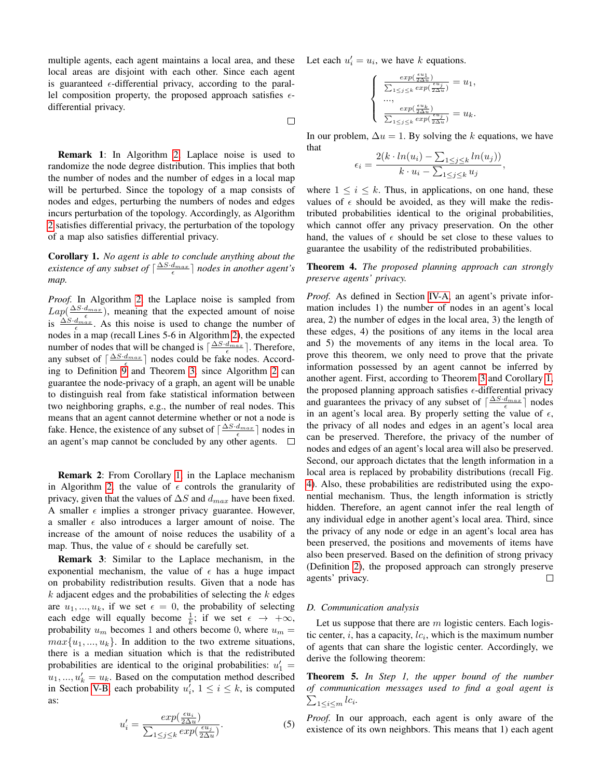multiple agents, each agent maintains a local area, and these local areas are disjoint with each other. Since each agent is guaranteed  $\epsilon$ -differential privacy, according to the parallel composition property, the proposed approach satisfies  $\epsilon$ differential privacy.

Remark 1: In Algorithm [2,](#page-5-5) Laplace noise is used to randomize the node degree distribution. This implies that both the number of nodes and the number of edges in a local map will be perturbed. Since the topology of a map consists of nodes and edges, perturbing the numbers of nodes and edges incurs perturbation of the topology. Accordingly, as Algorithm [2](#page-5-5) satisfies differential privacy, the perturbation of the topology of a map also satisfies differential privacy.

<span id="page-9-0"></span>Corollary 1. *No agent is able to conclude anything about the existence of any subset of*  $\lceil \frac{\Delta S \cdot d_{max}}{\epsilon} \rceil$  nodes in another agent's *map.*

*Proof.* In Algorithm [2,](#page-5-5) the Laplace noise is sampled from  $Lap(\frac{\Delta S \cdot d_{max}}{s})$ , meaning that the expected amount of noise is  $\frac{\Delta S \cdot d_{max}}{\epsilon}$ . As this noise is used to change the number of nodes in a map (recall Lines 5-6 in Algorithm [2\)](#page-5-5), the expected number of nodes that will be changed is  $\lceil \frac{\Delta S \cdot d_{max}}{\epsilon} \rceil$ . Therefore, any subset of  $\lceil \frac{\Delta S \cdot d_{max}}{\epsilon} \rceil$  nodes could be fake nodes. According to Definition [9](#page-4-4) and Theorem [3,](#page-8-4) since Algorithm [2](#page-5-5) can guarantee the node-privacy of a graph, an agent will be unable to distinguish real from fake statistical information between two neighboring graphs, e.g., the number of real nodes. This means that an agent cannot determine whether or not a node is fake. Hence, the existence of any subset of  $\lceil \frac{\Delta S \cdot d_{max}}{\epsilon} \rceil$  nodes in an agent's map cannot be concluded by any other agents.  $\Box$ 

Remark 2: From Corollary [1,](#page-9-0) in the Laplace mechanism in Algorithm [2,](#page-5-5) the value of  $\epsilon$  controls the granularity of privacy, given that the values of  $\Delta S$  and  $d_{max}$  have been fixed. A smaller  $\epsilon$  implies a stronger privacy guarantee. However, a smaller  $\epsilon$  also introduces a larger amount of noise. The increase of the amount of noise reduces the usability of a map. Thus, the value of  $\epsilon$  should be carefully set.

Remark 3: Similar to the Laplace mechanism, in the exponential mechanism, the value of  $\epsilon$  has a huge impact on probability redistribution results. Given that a node has  $k$  adjacent edges and the probabilities of selecting the  $k$  edges are  $u_1, ..., u_k$ , if we set  $\epsilon = 0$ , the probability of selecting each edge will equally become  $\frac{1}{k}$ ; if we set  $\epsilon \to +\infty$ , probability  $u_m$  becomes 1 and others become 0, where  $u_m =$  $max\{u_1, ..., u_k\}$ . In addition to the two extreme situations, there is a median situation which is that the redistributed probabilities are identical to the original probabilities:  $u'_1$  =  $u_1, ..., u_k' = u_k$ . Based on the computation method described in Section [V-B,](#page-5-6) each probability  $u'_i$ ,  $1 \le i \le k$ , is computed as:

$$
u'_{i} = \frac{\exp(\frac{\epsilon u_{i}}{2\Delta u})}{\sum_{1 \leq j \leq k} \exp(\frac{\epsilon u_{j}}{2\Delta u})}.
$$
 (5)

Let each  $u'_i = u_i$ , we have k equations.

$$
\left\{\begin{array}{l}\frac{exp(\frac{\epsilon u_1}{2\Delta u})}{\sum_{1\leq j\leq k}exp(\frac{\epsilon u_j}{2\Delta u})}=u_1,\\...,\\ \frac{exp(\frac{\epsilon u_k}{2\Delta u})}{\sum_{1\leq j\leq k}exp(\frac{\epsilon u_j}{2\Delta u})}=u_k.\end{array}\right.
$$

In our problem,  $\Delta u = 1$ . By solving the k equations, we have that

$$
\epsilon_i = \frac{2(k \cdot ln(u_i) - \sum_{1 \le j \le k} ln(u_j))}{k \cdot u_i - \sum_{1 \le j \le k} u_j},
$$

where  $1 \leq i \leq k$ . Thus, in applications, on one hand, these values of  $\epsilon$  should be avoided, as they will make the redistributed probabilities identical to the original probabilities, which cannot offer any privacy preservation. On the other hand, the values of  $\epsilon$  should be set close to these values to guarantee the usability of the redistributed probabilities.

Theorem 4. *The proposed planning approach can strongly preserve agents' privacy.*

*Proof.* As defined in Section [IV-A,](#page-2-4) an agent's private information includes 1) the number of nodes in an agent's local area, 2) the number of edges in the local area, 3) the length of these edges, 4) the positions of any items in the local area and 5) the movements of any items in the local area. To prove this theorem, we only need to prove that the private information possessed by an agent cannot be inferred by another agent. First, according to Theorem [3](#page-8-4) and Corollary [1,](#page-9-0) the proposed planning approach satisfies  $\epsilon$ -differential privacy and guarantees the privacy of any subset of  $\lceil \frac{\Delta S \cdot d_{max}}{\epsilon} \rceil$  nodes in an agent's local area. By properly setting the value of  $\epsilon$ , the privacy of all nodes and edges in an agent's local area can be preserved. Therefore, the privacy of the number of nodes and edges of an agent's local area will also be preserved. Second, our approach dictates that the length information in a local area is replaced by probability distributions (recall Fig. [4\)](#page-5-7). Also, these probabilities are redistributed using the exponential mechanism. Thus, the length information is strictly hidden. Therefore, an agent cannot infer the real length of any individual edge in another agent's local area. Third, since the privacy of any node or edge in an agent's local area has been preserved, the positions and movements of items have also been preserved. Based on the definition of strong privacy (Definition [2\)](#page-3-1), the proposed approach can strongly preserve agents' privacy.  $\Box$ 

#### *D. Communication analysis*

Let us suppose that there are  $m$  logistic centers. Each logistic center,  $i$ , has a capacity,  $lc_i$ , which is the maximum number of agents that can share the logistic center. Accordingly, we derive the following theorem:

<span id="page-9-1"></span>Theorem 5. *In Step 1, the upper bound of the number of communication messages used to find a goal agent is*  $\sum_{1 \leq i \leq m}$ lc<sub>i</sub>.

*Proof.* In our approach, each agent is only aware of the existence of its own neighbors. This means that 1) each agent

 $\Box$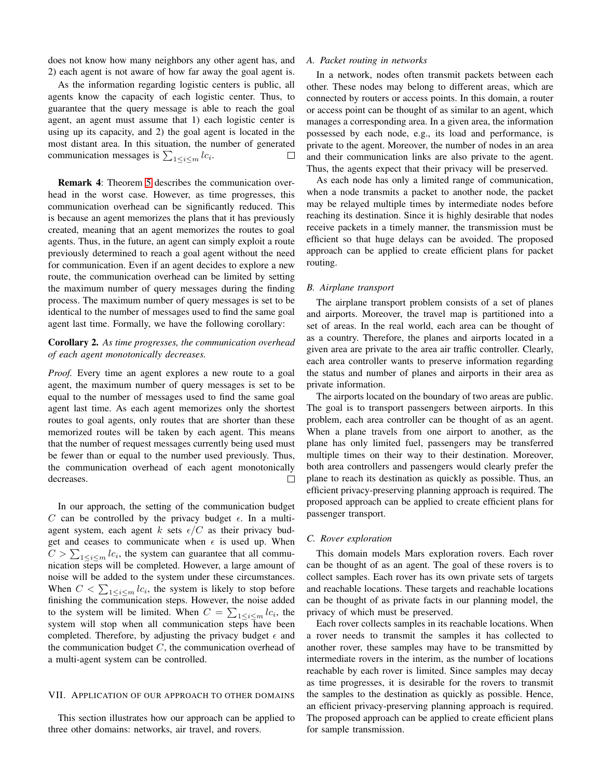does not know how many neighbors any other agent has, and 2) each agent is not aware of how far away the goal agent is.

As the information regarding logistic centers is public, all agents know the capacity of each logistic center. Thus, to guarantee that the query message is able to reach the goal agent, an agent must assume that 1) each logistic center is using up its capacity, and 2) the goal agent is located in the most distant area. In this situation, the number of generated communication messages is  $\sum_{1 \le i \le m} lc_i$ .

Remark 4: Theorem [5](#page-9-1) describes the communication overhead in the worst case. However, as time progresses, this communication overhead can be significantly reduced. This is because an agent memorizes the plans that it has previously created, meaning that an agent memorizes the routes to goal agents. Thus, in the future, an agent can simply exploit a route previously determined to reach a goal agent without the need for communication. Even if an agent decides to explore a new route, the communication overhead can be limited by setting the maximum number of query messages during the finding process. The maximum number of query messages is set to be identical to the number of messages used to find the same goal agent last time. Formally, we have the following corollary:

# Corollary 2. *As time progresses, the communication overhead of each agent monotonically decreases.*

*Proof.* Every time an agent explores a new route to a goal agent, the maximum number of query messages is set to be equal to the number of messages used to find the same goal agent last time. As each agent memorizes only the shortest routes to goal agents, only routes that are shorter than these memorized routes will be taken by each agent. This means that the number of request messages currently being used must be fewer than or equal to the number used previously. Thus, the communication overhead of each agent monotonically decreases. П

In our approach, the setting of the communication budget C can be controlled by the privacy budget  $\epsilon$ . In a multiagent system, each agent k sets  $\epsilon/C$  as their privacy budget and ceases to communicate when  $\epsilon$  is used up. When  $C > \sum_{1 \leq i \leq m} lc_i$ , the system can guarantee that all communication steps will be completed. However, a large amount of noise will be added to the system under these circumstances. When  $C < \sum_{1 \le i \le m} lc_i$ , the system is likely to stop before finishing the communication steps. However, the noise added to the system will be limited. When  $C = \sum_{1 \leq i \leq m} lc_i$ , the system will stop when all communication steps have been completed. Therefore, by adjusting the privacy budget  $\epsilon$  and the communication budget  $C$ , the communication overhead of a multi-agent system can be controlled.

# <span id="page-10-0"></span>VII. APPLICATION OF OUR APPROACH TO OTHER DOMAINS

This section illustrates how our approach can be applied to three other domains: networks, air travel, and rovers.

# *A. Packet routing in networks*

In a network, nodes often transmit packets between each other. These nodes may belong to different areas, which are connected by routers or access points. In this domain, a router or access point can be thought of as similar to an agent, which manages a corresponding area. In a given area, the information possessed by each node, e.g., its load and performance, is private to the agent. Moreover, the number of nodes in an area and their communication links are also private to the agent. Thus, the agents expect that their privacy will be preserved.

As each node has only a limited range of communication, when a node transmits a packet to another node, the packet may be relayed multiple times by intermediate nodes before reaching its destination. Since it is highly desirable that nodes receive packets in a timely manner, the transmission must be efficient so that huge delays can be avoided. The proposed approach can be applied to create efficient plans for packet routing.

## *B. Airplane transport*

The airplane transport problem consists of a set of planes and airports. Moreover, the travel map is partitioned into a set of areas. In the real world, each area can be thought of as a country. Therefore, the planes and airports located in a given area are private to the area air traffic controller. Clearly, each area controller wants to preserve information regarding the status and number of planes and airports in their area as private information.

The airports located on the boundary of two areas are public. The goal is to transport passengers between airports. In this problem, each area controller can be thought of as an agent. When a plane travels from one airport to another, as the plane has only limited fuel, passengers may be transferred multiple times on their way to their destination. Moreover, both area controllers and passengers would clearly prefer the plane to reach its destination as quickly as possible. Thus, an efficient privacy-preserving planning approach is required. The proposed approach can be applied to create efficient plans for passenger transport.

## *C. Rover exploration*

This domain models Mars exploration rovers. Each rover can be thought of as an agent. The goal of these rovers is to collect samples. Each rover has its own private sets of targets and reachable locations. These targets and reachable locations can be thought of as private facts in our planning model, the privacy of which must be preserved.

Each rover collects samples in its reachable locations. When a rover needs to transmit the samples it has collected to another rover, these samples may have to be transmitted by intermediate rovers in the interim, as the number of locations reachable by each rover is limited. Since samples may decay as time progresses, it is desirable for the rovers to transmit the samples to the destination as quickly as possible. Hence, an efficient privacy-preserving planning approach is required. The proposed approach can be applied to create efficient plans for sample transmission.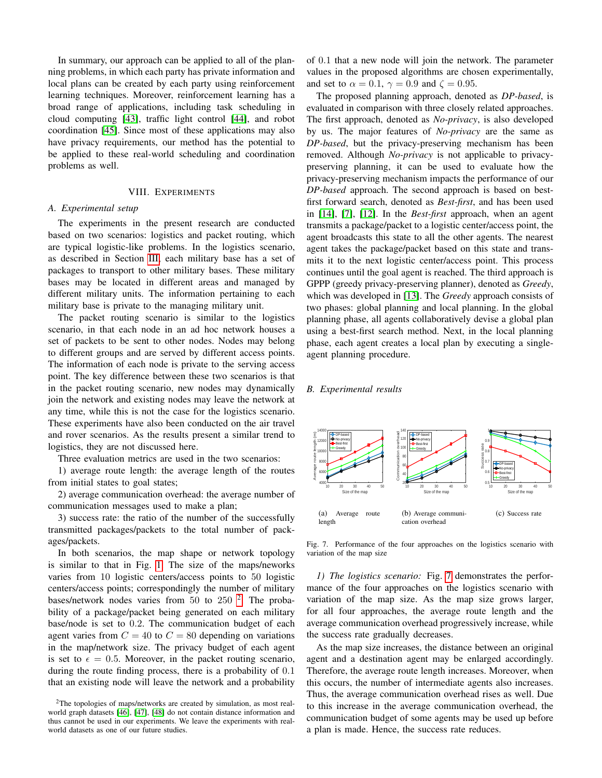In summary, our approach can be applied to all of the planning problems, in which each party has private information and local plans can be created by each party using reinforcement learning techniques. Moreover, reinforcement learning has a broad range of applications, including task scheduling in cloud computing [\[43\]](#page-14-31), traffic light control [\[44\]](#page-14-32), and robot coordination [\[45\]](#page-14-33). Since most of these applications may also have privacy requirements, our method has the potential to be applied to these real-world scheduling and coordination problems as well.

#### VIII. EXPERIMENTS

## <span id="page-11-0"></span>*A. Experimental setup*

The experiments in the present research are conducted based on two scenarios: logistics and packet routing, which are typical logistic-like problems. In the logistics scenario, as described in Section [III,](#page-2-0) each military base has a set of packages to transport to other military bases. These military bases may be located in different areas and managed by different military units. The information pertaining to each military base is private to the managing military unit.

The packet routing scenario is similar to the logistics scenario, in that each node in an ad hoc network houses a set of packets to be sent to other nodes. Nodes may belong to different groups and are served by different access points. The information of each node is private to the serving access point. The key difference between these two scenarios is that in the packet routing scenario, new nodes may dynamically join the network and existing nodes may leave the network at any time, while this is not the case for the logistics scenario. These experiments have also been conducted on the air travel and rover scenarios. As the results present a similar trend to logistics, they are not discussed here.

Three evaluation metrics are used in the two scenarios:

1) average route length: the average length of the routes from initial states to goal states;

2) average communication overhead: the average number of communication messages used to make a plan;

3) success rate: the ratio of the number of the successfully transmitted packages/packets to the total number of packages/packets.

In both scenarios, the map shape or network topology is similar to that in Fig. [1.](#page-2-2) The size of the maps/neworks varies from 10 logistic centers/access points to 50 logistic centers/access points; correspondingly the number of military bases/network nodes varies from 50 to [2](#page-11-1)50 $^2$ . The probability of a package/packet being generated on each military base/node is set to 0.2. The communication budget of each agent varies from  $C = 40$  to  $C = 80$  depending on variations in the map/network size. The privacy budget of each agent is set to  $\epsilon = 0.5$ . Moreover, in the packet routing scenario, during the route finding process, there is a probability of 0.1 that an existing node will leave the network and a probability of 0.1 that a new node will join the network. The parameter values in the proposed algorithms are chosen experimentally, and set to  $\alpha = 0.1$ ,  $\gamma = 0.9$  and  $\zeta = 0.95$ .

The proposed planning approach, denoted as *DP-based*, is evaluated in comparison with three closely related approaches. The first approach, denoted as *No-privacy*, is also developed by us. The major features of *No-privacy* are the same as *DP-based*, but the privacy-preserving mechanism has been removed. Although *No-privacy* is not applicable to privacypreserving planning, it can be used to evaluate how the privacy-preserving mechanism impacts the performance of our *DP-based* approach. The second approach is based on bestfirst forward search, denoted as *Best-first*, and has been used in [\[14\]](#page-14-2), [\[7\]](#page-13-6), [\[12\]](#page-14-0). In the *Best-first* approach, when an agent transmits a package/packet to a logistic center/access point, the agent broadcasts this state to all the other agents. The nearest agent takes the package/packet based on this state and transmits it to the next logistic center/access point. This process continues until the goal agent is reached. The third approach is GPPP (greedy privacy-preserving planner), denoted as *Greedy*, which was developed in [\[13\]](#page-14-1). The *Greedy* approach consists of two phases: global planning and local planning. In the global planning phase, all agents collaboratively devise a global plan using a best-first search method. Next, in the local planning phase, each agent creates a local plan by executing a singleagent planning procedure.

# *B. Experimental results*

<span id="page-11-3"></span>

<span id="page-11-2"></span>Fig. 7. Performance of the four approaches on the logistics scenario with variation of the map size

*1) The logistics scenario:* Fig. [7](#page-11-2) demonstrates the performance of the four approaches on the logistics scenario with variation of the map size. As the map size grows larger, for all four approaches, the average route length and the average communication overhead progressively increase, while the success rate gradually decreases.

As the map size increases, the distance between an original agent and a destination agent may be enlarged accordingly. Therefore, the average route length increases. Moreover, when this occurs, the number of intermediate agents also increases. Thus, the average communication overhead rises as well. Due to this increase in the average communication overhead, the communication budget of some agents may be used up before a plan is made. Hence, the success rate reduces.

<span id="page-11-1"></span><sup>2</sup>The topologies of maps/networks are created by simulation, as most realworld graph datasets [\[46\]](#page-14-34), [\[47\]](#page-14-35), [\[48\]](#page-14-36) do not contain distance information and thus cannot be used in our experiments. We leave the experiments with realworld datasets as one of our future studies.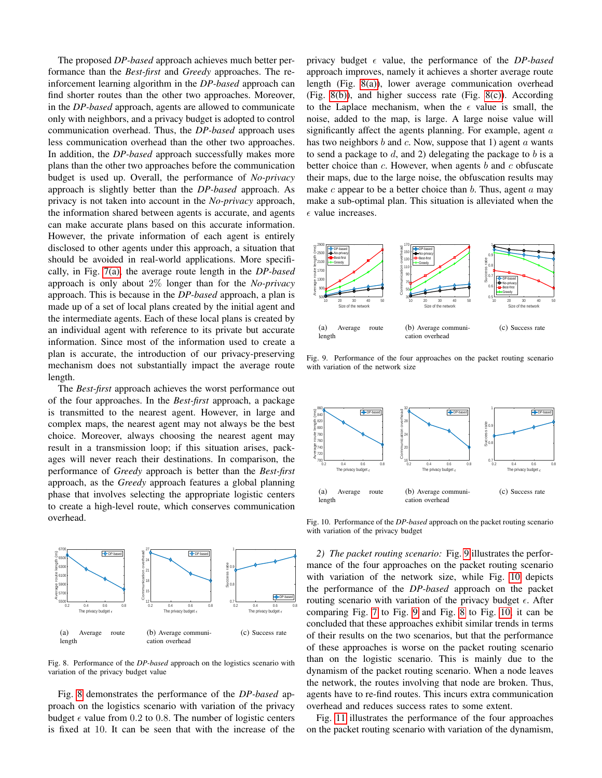The proposed *DP-based* approach achieves much better performance than the *Best-first* and *Greedy* approaches. The reinforcement learning algorithm in the *DP-based* approach can find shorter routes than the other two approaches. Moreover, in the *DP-based* approach, agents are allowed to communicate only with neighbors, and a privacy budget is adopted to control communication overhead. Thus, the *DP-based* approach uses less communication overhead than the other two approaches. In addition, the *DP-based* approach successfully makes more plans than the other two approaches before the communication budget is used up. Overall, the performance of *No-privacy* approach is slightly better than the *DP-based* approach. As privacy is not taken into account in the *No-privacy* approach, the information shared between agents is accurate, and agents can make accurate plans based on this accurate information. However, the private information of each agent is entirely disclosed to other agents under this approach, a situation that should be avoided in real-world applications. More specifically, in Fig. [7\(a\),](#page-11-3) the average route length in the *DP-based* approach is only about 2% longer than for the *No-privacy* approach. This is because in the *DP-based* approach, a plan is made up of a set of local plans created by the initial agent and the intermediate agents. Each of these local plans is created by an individual agent with reference to its private but accurate information. Since most of the information used to create a plan is accurate, the introduction of our privacy-preserving mechanism does not substantially impact the average route length.

The *Best-first* approach achieves the worst performance out of the four approaches. In the *Best-first* approach, a package is transmitted to the nearest agent. However, in large and complex maps, the nearest agent may not always be the best choice. Moreover, always choosing the nearest agent may result in a transmission loop; if this situation arises, packages will never reach their destinations. In comparison, the performance of *Greedy* approach is better than the *Best-first* approach, as the *Greedy* approach features a global planning phase that involves selecting the appropriate logistic centers to create a high-level route, which conserves communication overhead.

<span id="page-12-1"></span>

<span id="page-12-2"></span><span id="page-12-0"></span>Fig. 8. Performance of the *DP-based* approach on the logistics scenario with variation of the privacy budget value

Fig. [8](#page-12-0) demonstrates the performance of the *DP-based* approach on the logistics scenario with variation of the privacy budget  $\epsilon$  value from 0.2 to 0.8. The number of logistic centers is fixed at 10. It can be seen that with the increase of the privacy budget  $\epsilon$  value, the performance of the *DP-based* approach improves, namely it achieves a shorter average route length (Fig. [8\(a\)\)](#page-12-1), lower average communication overhead (Fig. [8\(b\)\)](#page-12-2), and higher success rate (Fig. [8\(c\)\)](#page-12-3). According to the Laplace mechanism, when the  $\epsilon$  value is small, the noise, added to the map, is large. A large noise value will significantly affect the agents planning. For example, agent  $a$ has two neighbors b and c. Now, suppose that 1) agent  $\alpha$  wants to send a package to  $d$ , and 2) delegating the package to  $b$  is a better choice than  $c$ . However, when agents  $b$  and  $c$  obfuscate their maps, due to the large noise, the obfuscation results may make c appear to be a better choice than  $b$ . Thus, agent  $a$  may make a sub-optimal plan. This situation is alleviated when the  $\epsilon$  value increases.



<span id="page-12-4"></span>Fig. 9. Performance of the four approaches on the packet routing scenario with variation of the network size



<span id="page-12-5"></span>Fig. 10. Performance of the *DP-based* approach on the packet routing scenario with variation of the privacy budget

<span id="page-12-3"></span>*2) The packet routing scenario:* Fig. [9](#page-12-4) illustrates the performance of the four approaches on the packet routing scenario with variation of the network size, while Fig. [10](#page-12-5) depicts the performance of the *DP-based* approach on the packet routing scenario with variation of the privacy budget  $\epsilon$ . After comparing Fig. [7](#page-11-2) to Fig. [9](#page-12-4) and Fig. [8](#page-12-0) to Fig. [10,](#page-12-5) it can be concluded that these approaches exhibit similar trends in terms of their results on the two scenarios, but that the performance of these approaches is worse on the packet routing scenario than on the logistic scenario. This is mainly due to the dynamism of the packet routing scenario. When a node leaves the network, the routes involving that node are broken. Thus, agents have to re-find routes. This incurs extra communication overhead and reduces success rates to some extent.

Fig. [11](#page-13-12) illustrates the performance of the four approaches on the packet routing scenario with variation of the dynamism,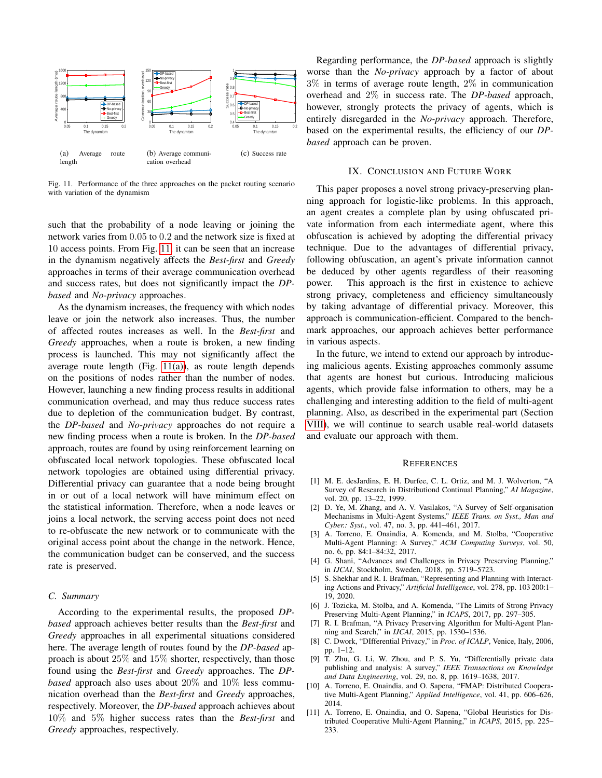<span id="page-13-13"></span>

<span id="page-13-12"></span>Fig. 11. Performance of the three approaches on the packet routing scenario with variation of the dynamism

such that the probability of a node leaving or joining the network varies from 0.05 to 0.2 and the network size is fixed at 10 access points. From Fig. [11,](#page-13-12) it can be seen that an increase in the dynamism negatively affects the *Best-first* and *Greedy* approaches in terms of their average communication overhead and success rates, but does not significantly impact the *DPbased* and *No-privacy* approaches.

As the dynamism increases, the frequency with which nodes leave or join the network also increases. Thus, the number of affected routes increases as well. In the *Best-first* and *Greedy* approaches, when a route is broken, a new finding process is launched. This may not significantly affect the average route length (Fig.  $11(a)$ ), as route length depends on the positions of nodes rather than the number of nodes. However, launching a new finding process results in additional communication overhead, and may thus reduce success rates due to depletion of the communication budget. By contrast, the *DP-based* and *No-privacy* approaches do not require a new finding process when a route is broken. In the *DP-based* approach, routes are found by using reinforcement learning on obfuscated local network topologies. These obfuscated local network topologies are obtained using differential privacy. Differential privacy can guarantee that a node being brought in or out of a local network will have minimum effect on the statistical information. Therefore, when a node leaves or joins a local network, the serving access point does not need to re-obfuscate the new network or to communicate with the original access point about the change in the network. Hence, the communication budget can be conserved, and the success rate is preserved.

## *C. Summary*

According to the experimental results, the proposed *DPbased* approach achieves better results than the *Best-first* and *Greedy* approaches in all experimental situations considered here. The average length of routes found by the *DP-based* approach is about 25% and 15% shorter, respectively, than those found using the *Best-first* and *Greedy* approaches. The *DPbased* approach also uses about 20% and 10% less communication overhead than the *Best-first* and *Greedy* approaches, respectively. Moreover, the *DP-based* approach achieves about 10% and 5% higher success rates than the *Best-first* and *Greedy* approaches, respectively.

Regarding performance, the *DP-based* approach is slightly worse than the *No-privacy* approach by a factor of about 3% in terms of average route length, 2% in communication overhead and 2% in success rate. The *DP-based* approach, however, strongly protects the privacy of agents, which is entirely disregarded in the *No-privacy* approach. Therefore, based on the experimental results, the efficiency of our *DPbased* approach can be proven.

## IX. CONCLUSION AND FUTURE WORK

<span id="page-13-9"></span>This paper proposes a novel strong privacy-preserving planning approach for logistic-like problems. In this approach, an agent creates a complete plan by using obfuscated private information from each intermediate agent, where this obfuscation is achieved by adopting the differential privacy technique. Due to the advantages of differential privacy, following obfuscation, an agent's private information cannot be deduced by other agents regardless of their reasoning power. This approach is the first in existence to achieve strong privacy, completeness and efficiency simultaneously by taking advantage of differential privacy. Moreover, this approach is communication-efficient. Compared to the benchmark approaches, our approach achieves better performance in various aspects.

In the future, we intend to extend our approach by introducing malicious agents. Existing approaches commonly assume that agents are honest but curious. Introducing malicious agents, which provide false information to others, may be a challenging and interesting addition to the field of multi-agent planning. Also, as described in the experimental part (Section [VIII\)](#page-11-0), we will continue to search usable real-world datasets and evaluate our approach with them.

#### **REFERENCES**

- <span id="page-13-0"></span>[1] M. E. desJardins, E. H. Durfee, C. L. Ortiz, and M. J. Wolverton, "A Survey of Research in Distributiond Continual Planning," *AI Magazine*, vol. 20, pp. 13–22, 1999.
- <span id="page-13-1"></span>[2] D. Ye, M. Zhang, and A. V. Vasilakos, "A Survey of Self-organisation Mechanisms in Multi-Agent Systems," *IEEE Trans. on Syst., Man and Cyber.: Syst.*, vol. 47, no. 3, pp. 441–461, 2017.
- <span id="page-13-2"></span>[3] A. Torreno, E. Onaindia, A. Komenda, and M. Stolba, "Cooperative Multi-Agent Planning: A Survey," *ACM Computing Surveys*, vol. 50, no. 6, pp. 84:1–84:32, 2017.
- <span id="page-13-3"></span>[4] G. Shani, "Advances and Challenges in Privacy Preserving Planning," in *IJCAI*, Stockholm, Sweden, 2018, pp. 5719–5723.
- <span id="page-13-4"></span>[5] S. Shekhar and R. I. Brafman, "Representing and Planning with Interacting Actions and Privacy," *Artificial Intelligence*, vol. 278, pp. 103 200:1– 19, 2020.
- <span id="page-13-5"></span>[6] J. Tozicka, M. Stolba, and A. Komenda, "The Limits of Strong Privacy Preserving Multi-Agent Planning," in *ICAPS*, 2017, pp. 297–305.
- <span id="page-13-6"></span>[7] R. I. Brafman, "A Privacy Preserving Algorithm for Multi-Agent Planning and Search," in *IJCAI*, 2015, pp. 1530–1536.
- <span id="page-13-7"></span>[8] C. Dwork, "DIfferential Privacy," in *Proc. of ICALP*, Venice, Italy, 2006, pp. 1–12.
- <span id="page-13-8"></span>[9] T. Zhu, G. Li, W. Zhou, and P. S. Yu, "Differentially private data publishing and analysis: A survey," *IEEE Transactions on Knowledge and Data Engineering*, vol. 29, no. 8, pp. 1619–1638, 2017.
- <span id="page-13-10"></span>[10] A. Torreno, E. Onaindia, and O. Sapena, "FMAP: Distributed Cooperative Multi-Agent Planning," *Applied Intelligence*, vol. 41, pp. 606–626, 2014.
- <span id="page-13-11"></span>[11] A. Torreno, E. Onaindia, and O. Sapena, "Global Heuristics for Distributed Cooperative Multi-Agent Planning," in *ICAPS*, 2015, pp. 225– 233.